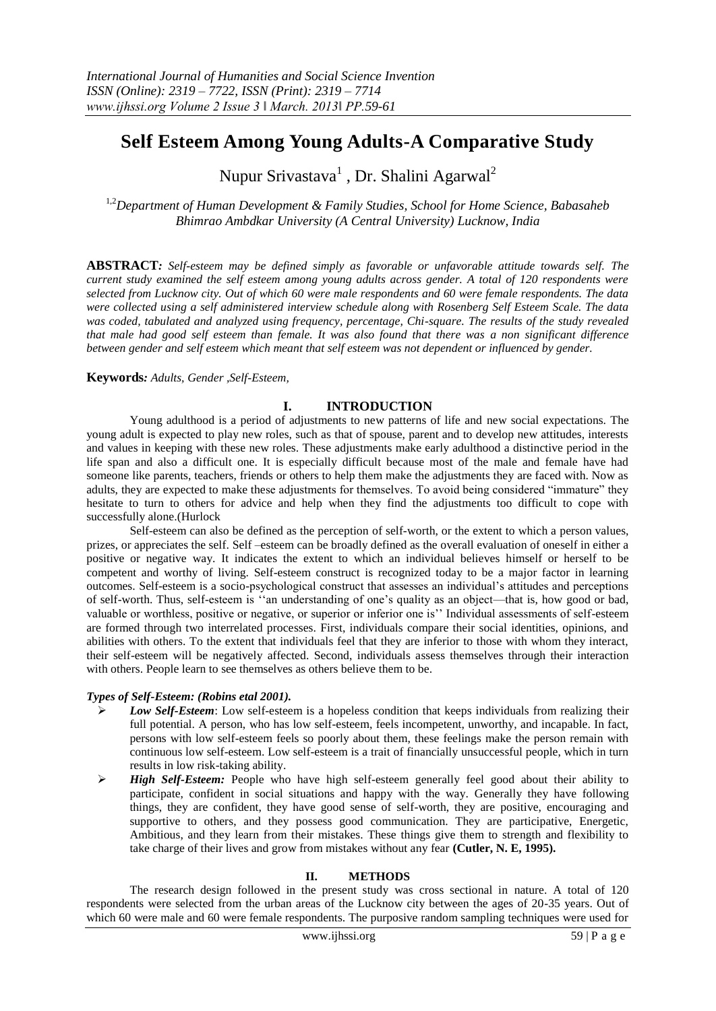# **Self Esteem Among Young Adults-A Comparative Study**

Nupur Srivastava<sup>1</sup> , Dr. Shalini Agarwal<sup>2</sup>

1,2*Department of Human Development & Family Studies, School for Home Science, Babasaheb Bhimrao Ambdkar University (A Central University) Lucknow, India*

**ABSTRACT***: Self-esteem may be defined simply as favorable or unfavorable attitude towards self. The current study examined the self esteem among young adults across gender. A total of 120 respondents were selected from Lucknow city. Out of which 60 were male respondents and 60 were female respondents. The data were collected using a self administered interview schedule along with Rosenberg Self Esteem Scale. The data was coded, tabulated and analyzed using frequency, percentage, Chi-square. The results of the study revealed that male had good self esteem than female. It was also found that there was a non significant difference between gender and self esteem which meant that self esteem was not dependent or influenced by gender.*

## **Keywords***: Adults, Gender ,Self-Esteem,*

## **I. INTRODUCTION**

Young adulthood is a period of adjustments to new patterns of life and new social expectations. The young adult is expected to play new roles, such as that of spouse, parent and to develop new attitudes, interests and values in keeping with these new roles. These adjustments make early adulthood a distinctive period in the life span and also a difficult one. It is especially difficult because most of the male and female have had someone like parents, teachers, friends or others to help them make the adjustments they are faced with. Now as adults, they are expected to make these adjustments for themselves. To avoid being considered "immature" they hesitate to turn to others for advice and help when they find the adjustments too difficult to cope with successfully alone.(Hurlock

Self-esteem can also be defined as the perception of self-worth, or the extent to which a person values, prizes, or appreciates the self. Self –esteem can be broadly defined as the overall evaluation of oneself in either a positive or negative way. It indicates the extent to which an individual believes himself or herself to be competent and worthy of living. Self-esteem construct is recognized today to be a major factor in learning outcomes. Self-esteem is a socio-psychological construct that assesses an individual's attitudes and perceptions of self-worth. Thus, self-esteem is ‗‗an understanding of one's quality as an object—that is, how good or bad, valuable or worthless, positive or negative, or superior or inferior one is'' Individual assessments of self-esteem are formed through two interrelated processes. First, individuals compare their social identities, opinions, and abilities with others. To the extent that individuals feel that they are inferior to those with whom they interact, their self-esteem will be negatively affected. Second, individuals assess themselves through their interaction with others. People learn to see themselves as others believe them to be.

### *Types of Self-Esteem: (Robins etal 2001).*

- *Low Self-Esteem*: Low self-esteem is a hopeless condition that keeps individuals from realizing their full potential. A person, who has low self-esteem, feels incompetent, unworthy, and incapable. In fact, persons with low self-esteem feels so poorly about them, these feelings make the person remain with continuous low self-esteem. Low self-esteem is a trait of financially unsuccessful people, which in turn results in low risk-taking ability.
- *High Self-Esteem:* People who have high self-esteem generally feel good about their ability to participate, confident in social situations and happy with the way. Generally they have following things, they are confident, they have good sense of self-worth, they are positive, encouraging and supportive to others, and they possess good communication. They are participative, Energetic, Ambitious, and they learn from their mistakes. These things give them to strength and flexibility to take charge of their lives and grow from mistakes without any fear **(Cutler, N. E, 1995).**

## **II. METHODS**

The research design followed in the present study was cross sectional in nature. A total of 120 respondents were selected from the urban areas of the Lucknow city between the ages of 20-35 years. Out of which 60 were male and 60 were female respondents. The purposive random sampling techniques were used for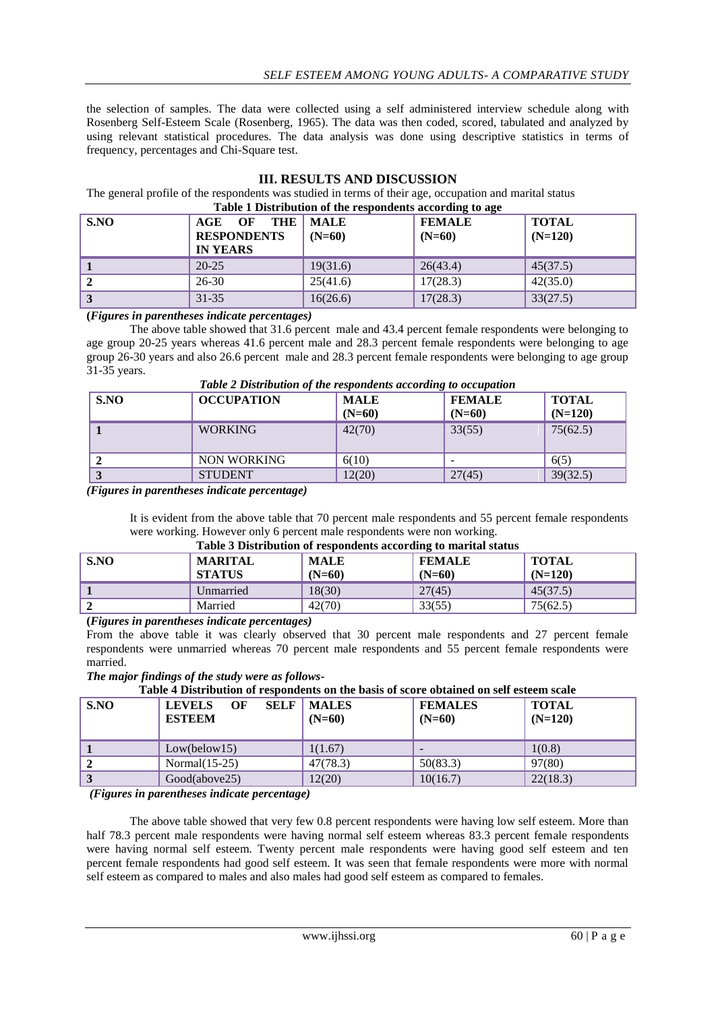the selection of samples. The data were collected using a self administered interview schedule along with Rosenberg Self-Esteem Scale (Rosenberg, 1965). The data was then coded, scored, tabulated and analyzed by using relevant statistical procedures. The data analysis was done using descriptive statistics in terms of frequency, percentages and Chi-Square test.

| Table 1 Distribution of the respondents according to age |                                                           |                         |                           |                           |
|----------------------------------------------------------|-----------------------------------------------------------|-------------------------|---------------------------|---------------------------|
| S.NO                                                     | THE<br>AGE<br>OF<br><b>RESPONDENTS</b><br><b>IN YEARS</b> | <b>MALE</b><br>$(N=60)$ | <b>FEMALE</b><br>$(N=60)$ | <b>TOTAL</b><br>$(N=120)$ |
|                                                          | $20 - 25$                                                 | 19(31.6)                | 26(43.4)                  | 45(37.5)                  |
|                                                          | $26 - 30$                                                 | 25(41.6)                | 17(28.3)                  | 42(35.0)                  |
| $\overline{3}$                                           | $31 - 35$                                                 | 16(26.6)                | 17(28.3)                  | 33(27.5)                  |

### **III. RESULTS AND DISCUSSION**

## The general profile of the respondents was studied in terms of their age, occupation and marital status

### **(***Figures in parentheses indicate percentages)*

The above table showed that 31.6 percent male and 43.4 percent female respondents were belonging to age group 20-25 years whereas 41.6 percent male and 28.3 percent female respondents were belonging to age group 26-30 years and also 26.6 percent male and 28.3 percent female respondents were belonging to age group 31-35 years.

| S.NO | <b>OCCUPATION</b> | <b>MALE</b><br>$(N=60)$ | <b>FEMALE</b><br>$(N=60)$ | <b>TOTAL</b><br>$(N=120)$ |
|------|-------------------|-------------------------|---------------------------|---------------------------|
|      | <b>WORKING</b>    | 42(70)                  | 33(55)                    | 75(62.5)                  |
|      | NON WORKING       | 6(10)                   | -                         | 6(5)                      |
|      | <b>STUDENT</b>    | 12(20)                  | 27(45)                    | 39(32.5)                  |

## *Table 2 Distribution of the respondents according to occupation*

*(Figures in parentheses indicate percentage)*

It is evident from the above table that 70 percent male respondents and 55 percent female respondents were working. However only 6 percent male respondents were non working. **Table 3 Distribution of respondents according to marital status**

| S.NO | Table 5 Distribution of respondents according to marital status<br><b>MARITAL</b><br><b>STATUS</b> | <b>MALE</b><br>$(N=60)$ | <b>FEMALE</b><br>$(N=60)$ | <b>TOTAL</b><br>$(N=120)$ |
|------|----------------------------------------------------------------------------------------------------|-------------------------|---------------------------|---------------------------|
|      | Unmarried                                                                                          | 18(30)                  | 27(45)                    | 45(37.5)                  |
|      | Married                                                                                            | 42(70)                  | 33(55)                    | 75(62.5)                  |

**(***Figures in parentheses indicate percentages)*

From the above table it was clearly observed that 30 percent male respondents and 27 percent female respondents were unmarried whereas 70 percent male respondents and 55 percent female respondents were married.

*The major findings of the study were as follows-*

| S.NO | <b>SELF</b><br>OF<br><b>LEVELS</b><br><b>ESTEEM</b> | <b>MALES</b><br>$(N=60)$ | <b>FEMALES</b><br>$(N=60)$ | TOTAL<br>$(N=120)$ |
|------|-----------------------------------------------------|--------------------------|----------------------------|--------------------|
|      | Low(below15)                                        | 1(1.67)                  | $\overline{\phantom{0}}$   | 1(0.8)             |
| 2    | Normal $(15-25)$                                    | 47(78.3)                 | 50(83.3)                   | 97(80)             |
| 3    | Good(above25)                                       | 12(20)                   | 10(16.7)                   | 22(18.3)           |

*(Figures in parentheses indicate percentage)*

The above table showed that very few 0.8 percent respondents were having low self esteem. More than half 78.3 percent male respondents were having normal self esteem whereas 83.3 percent female respondents were having normal self esteem. Twenty percent male respondents were having good self esteem and ten percent female respondents had good self esteem. It was seen that female respondents were more with normal self esteem as compared to males and also males had good self esteem as compared to females.